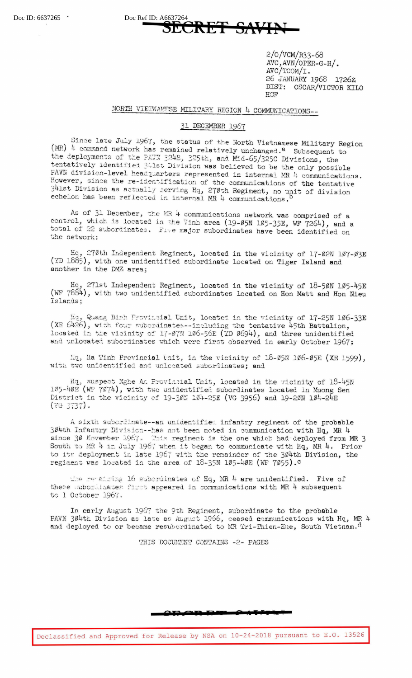## Doc Ref ID: A6637264 **SE**

 $2/0$ /VCM/R33-68 AVC, AVN/OPER-G-H/. AVC/TCOM/I. 26 JANUARY 1968 1726Z DIST: OSCAR/VICTOR KILO HCF

## MORTH VIETNAMESE MILITARY REGION 4 COMMUNICATIONS--

## 31 DECEMBER 1967

Since late July 1967, the status of the North Vietnamese Military Region (MR) 4 command network has remained relatively unchanged.<sup>8</sup> Subsequent to the deployments of the PAVN 324B, 325th, and Mid-65/325C Divisions, the tentatively identified 341st Division was believed to be the only possible PAVN division-level headquarters represented in internal MR 4 communications. However, since the re-identification of the communications of the tentative 341st Division as actually serving Hq, 270th Regiment, no unit of division echelon has been reflected in internal MR 4 communications.

As of 31 December, the MR 4 communications network was comprised of a control, which is located in the Vinh area (19-05N 105-35E, WF 7264), and a total of 22 subcrdinates. Five major subordinates have been identified on the network:

Hq, 270th Independent Regiment, located in the vicinity of 17-02N 107-03E (YD 1885), with one unidentified subordinate located on Tiger Island and another in the DMZ area;

Hq, 271st Independent Regiment, located in the vicinity of 18-50N 105-45E (WF 7884), with two unidentified subordinates located on Hon Matt and Hon Nieu Islands;

Hq, Quang Binh Provincial Unit, located in the vicinity of 17-25N 106-33E (XE 6426), with four subordinates--including the tentative 45th Battalion, located in the vicinity of 17-07N 106-56E (TD 0694), and three unidentified and unlocated subordinates which were first observed in early October 1967;

Hq, Ha Tinh Provincial Unit, in the vicinity of 18-05N 106-05E (XE 1599), with two unidentified and unlocated subordinates; and

Hq, suspect Nghe An Provincial Unit, located in the vicinity of 18-45N 105-40E (WF 7074), with two unidentified subordinates located in Muong Sen District in the vicinity of 19-30N 104-25E (VG 3956) and 19-20N 104-24E  $(70 3737).$ 

A sixth subordinate--an unidentified infantry regiment of the probable 304th Infantry Division--has not been noted in communication with Hq, MR 4 since 30 November 1967. This regiment is the one which had deployed from MR 3<br>South to MR 4 in July 1967 when it began to communicate with Hq, MR 4. Prior to its deployment in late 1967 with the remainder of the 304th Division, the regiment was located in the area of 18-35N 105-40E (WF 7055).c

The relating 16 subcrimates of Hq, MR 4 are unidentified. Five of these mubordinates first appeared in communications with MR 4 subsequent to 1 October 1967.

In early August 1967 the 9th Regiment, subordinate to the probable<br>PAVN 304th Division as late as August 1966, ceased communications with Hq, MR 4 and deployed to or became resubordinated to MR Tri-Thien-Hue, South Vietnam.d

THIS DOCUMENT CONTAINS -2- PAGES

Declassified and Approved for Release by NSA on 10-24-2018 pursuant to E.O. 13526